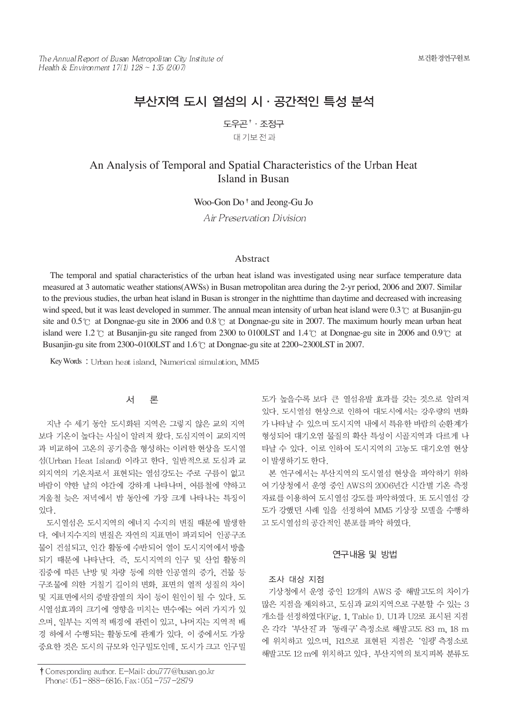# 부산지역 도시 열섬의 시 · 공간적인 특성 분석

도우곤 \* · 조정구

대기보전과

## An Analysis of Temporal and Spatial Characteristics of the Urban Heat Island in Busan

Woo-Gon Do<sup>†</sup> and Jeong-Gu Jo

Air Preservation Division

#### Abstract

The temporal and spatial characteristics of the urban heat island was investigated using near surface temperature data measured at 3 automatic weather stations(AWSs) in Busan metropolitan area during the 2-yr period, 2006 and 2007. Similar to the previous studies, the urban heat island in Busan is stronger in the nighttime than daytime and decreased with increasing wind speed, but it was least developed in summer. The annual mean intensity of urban heat island were 0.3  $\degree$  at Busanjin-gu site and  $0.5^{\circ}$  at Dongnae-gu site in 2006 and  $0.8^{\circ}$  at Dongnae-gu site in 2007. The maximum hourly mean urban heat island were 1.2  $\degree$  at Busanjin-gu site ranged from 2300 to 0100LST and 1.4  $\degree$  at Dongnae-gu site in 2006 and 0.9  $\degree$  at Busanjin-gu site from 2300~0100LST and  $1.6^{\circ}$  at Dongnae-gu site at 2200~2300LST in 2007.

Key Words: Urban heat island, Numerical simulation, MM5

#### 서 론

지난 수 세기 동안 도시화된 지역은 그렇지 않은 교외 지역 보다 기온이 높다는 사실이 알려져 왔다. 도심지역이 교외지역 과 비교하여 고온의 공기층을 형성하는 이러한 현상을 도시열 섬(Urban Heat Island) 이라고 한다. 일반적으로 도심과 교 외지역의 기온차로서 표현되는 열섬강도는 주로 구름이 없고 바람이 약한 날의 야간에 강하게 나타나며, 여름철에 약하고 겨울철 늦은 저녁에서 밤 동안에 가장 크게 나타나는 특징이 잎다.

도시열섬은 도시지역의 에너지 수지의 변질 때문에 발생한 다. 에너지수지의 변질은 자연의 지표면이 파괴되어 인공구조 물이 건설되고, 인간 활동에 수반되어 열이 도시지역에서 방출 되기 때문에 나타난다. 즉, 도시지역의 인구 및 산업 활동의 집중에 따른 난방 및 차량 등에 의한 인공열의 증가, 건물 등 구조물에 의한 거칠기 길이의 변화, 표면의 열적 성질의 차이 및 지표면에서의 증발잠열의 차이 등이 원인이 될 수 있다. 도 시열섬효과의 크기에 영향을 미치는 변수에는 여러 가지가 있 으며, 일부는 지역적 배경에 관련이 있고, 나머지는 지역적 배 경 하에서 수행되는 활동도에 관계가 있다. 이 중에서도 가장 중요한 것은 도시의 규모와 인구밀도인데, 도시가 크고 인구밀

† Corresponding author. E-Mail: dou777@busan.go.kr Phone: 051-888-6816, Fax: 051-757-2879

도가 높을수록 보다 큰 열섬유발 효과를 갖는 것으로 알려져 있다. 도시열섬 현상으로 인하여 대도시에서는 강우량의 변화 가 나타날 수 있으며 도시지역 내에서 특유한 바람의 순환계가 형성되어 대기오염 물질의 확산 특성이 시골지역과 다르게 나 타날 수 있다. 이로 인하여 도시지역의 고농도 대기오염 현상 이 발생하기도 하다.

본 연구에서는 부산지역의 도시열섬 현상을 파악하기 위하 여 기상청에서 운영 중인 AWS의 2006년간 시간별 기온 측정 자료를 이용하여 도시열섬 강도를 파악하였다. 또 도시열섬 강 도가 강했던 사례 일을 선정하여 MM5 기상장 모델을 수행하 고 도시열섬의 공간적인 분포를 파악 하였다.

#### 연구내용 및 방법

#### 조사 대상 지점

기상청에서 운영 중인 12개의 AWS 중 해발고도의 차이가 많은 지점을 제외하고, 도심과 교외지역으로 구분할 수 있는 3 개소를 선정하였다(Fig. 1, Table 1). U1과 U2로 표시된 지점 은 각각 '부산진' 과 '동래구' 측정소로 해발고도 83 m. 18 m 에 위치하고 있으며, R1으로 표현된 지점은 '일광' 측정소로 해발고도 12 m에 위치하고 있다. 부산지역의 토지피복 분류도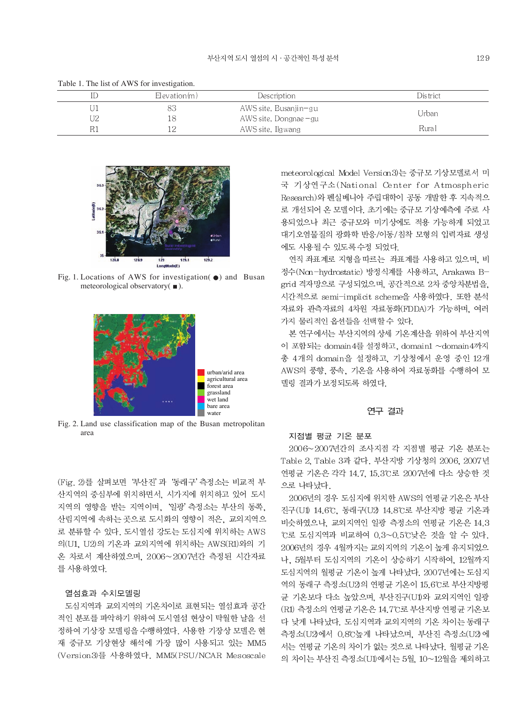| ID | $E$ levation $(m)$ | Des cription           | District |
|----|--------------------|------------------------|----------|
| UI |                    | AWS site, Busanjin–gu  | Urban    |
| U2 |                    | AWS site, Dongnae – gu |          |
| R1 | LО                 | AWS site, Ilgwang      | Rural    |

Table 1. The list of AWS for investigation.



Fig. 1. Locations of AWS for investigation(●) and Busan meteorological observatory  $\blacksquare$ ).



Fig. 2. Land use classification map of the Busan metropolitan area

(Fig. 2)를 살펴보면 '부산진' 과 '동래구' 측정소는 비교적 부 산지역의 중심부에 위치하면서, 시가지에 위치하고 있어 도시 지역의 영향을 받는 지역이며, '일광' 측정소는 부산의 동쪽, 산림지역에 속하는 곳으로 도시화의 영향이 적은, 교외지역으 로 분류할 수 있다. 도시열섬 강도는 도심지에 위치하는 AWS 의(U1, U2)의 기온과 교외지역에 위치하는 AWS(R1)와의 기 온 차로서 계산하였으며, 2006~2007년간 측정된 시간자료 를 사용하였다.

#### 열섬효과 수치모델링

도심지역과 교외지역의 기온차이로 표현되는 열섬효과 공간 적인 분포를 파악하기 위하여 도시열섬 현상이 탁월한 날을 선 정하여 기상장 모델링을 수행하였다. 사용한 기장상 모델은 현 재 중규모 기상현상 해석에 가장 많이 사용되고 있는 MM5 (Version3)를 사용하였다. MM5(PSU/NCAR Mesoscale meteorological Model Version3)는 중규모 기상모델로서 미 국 기상연구소(National Center for Atmospheric Research)와 펜실베니아 주립대학이 공동 개발한 후 지속적으 로 개선되어 온 모델이다. 초기에는 중규모 기상예측에 주로 사 용되었으나 최근 중규모와 미기상에도 적용 가능하게 되었고 대기오염물질의 광화학 반응/이동/침착 모형의 입력자료 생성 에도 사용될수 있도록수정 되었다.

연직 좌표계로 지형을 따르는 좌표계를 사용하고 있으며, 비 정수(Non-hydrostatic) 방정식계를 사용하고, Arakawa Bgrid 격자망으로 구성되었으며, 공간적으로 2차 중앙차분법을, 시간적으로 semi-implicit scheme을 사용하였다. 또한 분석 자료와 관측자료의 4차원 자료동화(FDDA)가 가능하며, 여러 가지 물리적인 옵션들을 선택할수 있다.

본 연구에서는 부산지역의 상세 기온계산을 위하여 부산지역 이 포함되는 domain 4를 설정하고, domain1 ~domain 4까지 총 4개의 domain을 설정하고, 기상청에서 운영 중인 12개 AWS의 풍향, 풍속, 기온을 사용하여 자료동화를 수행하여 모 델링 결과가 보정되도록 하였다.

#### 연구 결과

#### 지점별 평균 기온 분포

2006~2007년간의 조사지점 각 지점별 평균 기온 분포는 Table 2, Table 3과 같다. 부산지방 기상청의 2006, 2007년 연평균 기온은 각각 14.7, 15.3℃로 2007년에 다소 상승한 것 으로 나타났다.

2006년의 경우 도심지에 위치한 AWS의 연평균 기온은 부산 진구(U1) 14.6℃, 동래구(U2) 14.8℃로 부산지방 평균 기온과 비슷하였으나, 교외지역인 일광 측정소의 연평균 기온은 14.3 ℃로 도심지역과 비교하여 0.3~0.5℃낮은 것을 알 수 있다. 2006년의 경우 4월까지는 교외지역의 기온이 높게 유지되었으 나. 5월부터 도심지역의 기온이 상승하기 시작하여. 12월까지 도심지역의 월평균 기온이 높게 나타났다. 2007년에는 도심지 역의 동래구 측정소(U2)의 연평균 기온이 15.6℃로 부산지방평 균 기온보다 다소 높았으며, 부산진구(U1)와 교외지역인 일광 (R1) 측정소의 연평균 기온은 14.7°C로 부산지방 연평균 기온보 다 낮게 나타났다. 도심지역과 교외지역의 기온 차이는 동래구 측정소(U2)에서 0.8°C높게 나타났으며, 부산진 측정소(U2)에 서는 연평균 기온의 차이가 없는 것으로 나타났다. 월평균 기온 의 차이는 부산진 측정소(U1)에서는 5월, 10~12월을 제외하고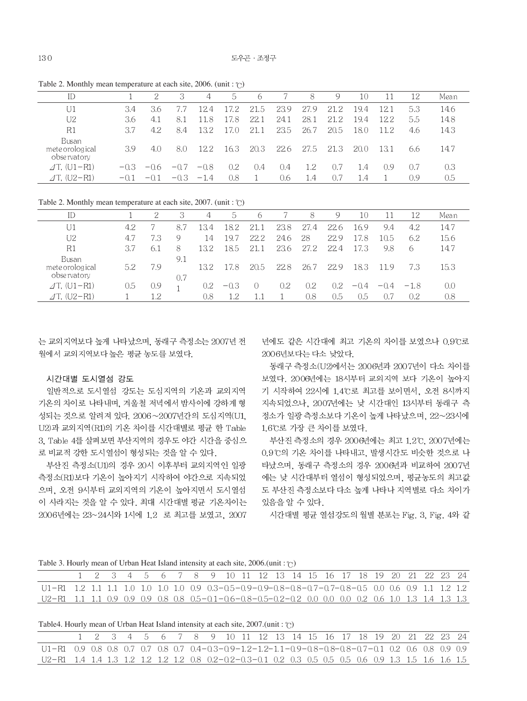| ID                                      |        | 2      | 3      | 4          | 5.   | -6   |      | 8    | 9    | 10   | 11   | 12  | Mean |
|-----------------------------------------|--------|--------|--------|------------|------|------|------|------|------|------|------|-----|------|
| U1                                      | 3.4    | 3.6    |        | 12.4       | 17.2 | 21.5 | 23.9 | 27.9 | 21.2 | 19.4 | 12.1 | 5.3 | 14.6 |
| U <sub>2</sub>                          | 3.6    | 4.1    | 8.1    | 11.<br>. 8 | 17.8 | 22.1 | 24.1 | 28.1 | 21.2 | 19.4 | 12.2 | 5.5 | 14.8 |
| R1                                      | 3.7    | 4.2    | 8.4    | 132        | LZ O | 21.1 | 23.5 | 26.7 | 20.5 | 18.0 | 11.2 | 4.6 | 14.3 |
| Busan<br>mete orological<br>observatory | 3.9    | 4.0    | 8.0    | 12.2       | 16.3 | 20.3 | 22.6 | 27.5 | 21.3 | 20.0 | 13.1 | 6.6 | 14.7 |
| $\angle$ T, (U1-R1)                     | $-0.3$ | $-0.6$ | $-0.7$ | $-0.8$     | 0.2  | 0.4  | 0.4  | 1.2  | 0.7  | 1.4  | 0.9  | 0.7 | 0.3  |
| $\angle$ T. (U2-R1)                     | $-0.1$ | $-0.1$ | $-0.3$ | $-1.4$     | 0.8  |      | 0.6  | 1.4  | 0.7  | 1.4  |      | 0.9 | 0.5  |

Table 2. Monthly mean temperature at each site, 2006. (unit :  $\circ$ )

Table 2. Monthly mean temperature at each site,  $2007$ . (unit : °C)

| ID                                      |     |      | 3          | 4   | 5.      | 6    |      | 8       | 9    | 10     |        | 12     | Mean |
|-----------------------------------------|-----|------|------------|-----|---------|------|------|---------|------|--------|--------|--------|------|
|                                         | 4.2 |      | 8.7        | 134 | 18.2    | 21.1 | 23.8 | 27.4    | 22.6 | 16.9   | 9.4    | 4.2    | 14.7 |
| U2                                      | 4.7 | 7.3  | 9          | 14  | 19.7    | 22.2 | 24.6 | 28      | 22.9 | 17.8   | 10.5   | 6.2    | 15.6 |
| R1                                      | 3.7 | -6.1 | -8         | 132 | 18.5    | 21.1 | 23.6 | 27.2    | 22.4 | 17.3   | 9.8    | 6      | 14.7 |
| Busan<br>mete orological<br>observatory | 5.2 | 7.9  | 9.1<br>0.7 | 132 | ' 8     | 20.5 | 22.8 | 26.7    | 22.9 | 18.3   | 11.9   | 7.3    | 15.3 |
| $\angle$ T, (U1-R1)                     | 0.5 | 0.9  |            | 0.2 | $-0.3$  |      | 0.2  | $0.2\,$ | 0.2  | $-0.4$ | $-0.4$ | $-1.8$ | 0.0  |
| $\angle$ T, (U2-R1)                     |     | 1.2  |            | 0.8 | $1.2\,$ |      |      | 0.8     | 0.5  | 0.5    | 0.7    | 0.2    | 0.8  |

는 교외지역보다 높게 나타났으며, 동래구 측정소는 2007년 전 월에서 교외지역보다 높은 평균 농도를 보였다.

#### 시간대별 도시열섬 강도

일반적으로 도시열섬 강도는 도심지역의 기온과 교외지역 기온의 차이로 나타내며, 겨울철 저녁에서 밤사이에 강하게 형 성되는 것으로 알려져 있다. 2006~2007년간의 도심지역(U1. U2)과 교외지역(R1)의 기온 차이를 시간대별로 평균 한 Table 3. Table 4를 살펴보면 부산지역의 경우도 야간 시간을 중심으 로 비교적 강한 도시열섬이 형성되는 것을 알 수 있다.

부산진 측정소(U1)의 경우 20시 이후부터 교외지역인 일광 측정소(R1)보다 기온이 높아지기 시작하여 야간으로 지속되었 으며, 오전 9시부터 교외지역의 기온이 높아지면서 도시열섬 이 사라지는 것을 알 수 있다. 최대 시간대별 평균 기온차이는 2006년에는 23~24시와 1시에 1.2 로 최고를 보였고, 2007

년에도 같은 시간대에 최고 기온의 차이를 보였으나 0.9℃로 2006년보다는 다소 낮았다.

동래구 측정소(U2)에서는 2006년과 2007년이 다소 차이를 보였다. 2006년에는 18시부터 교외지역 보다 기온이 높아지 기 시작하여 22시에 1.4℃로 최고를 보이면서, 오전 8시까지 지속되었으나, 2007년에는 낮 시간대인 13시부터 동래구 측 정소가 일광 측정소보다 기온이 높게 나타났으며, 22~23시에 1.6℃로 가장 큰 차이를 보였다.

부산진 측정소의 경우 2006년에는 최고 1.2°C, 2007년에는 0.9℃의 기온 차이를 나타내고, 발생시간도 비슷한 것으로 나 타났으며, 동래구 측정소의 경우 2006년과 비교하여 2007년 에는 낮 시간대부터 열섬이 형성되었으며, 평균농도의 최고값 도 부산진 측정소보다 다소 높게 나타나 지역별로 다소 차이가 있음을 알 수 있다.

시간대별 평균 열섬강도의 월별 분포는 Fig. 3, Fig. 4와 같

Table 3. Hourly mean of Urban Heat Island intensity at each site,  $2006$ .(unit:  $\degree$ )

|                                                                                                         |  |  |  |  |  | 1 2 3 4 5 6 7 8 9 10 11 12 13 14 15 16 17 18 19 20 21 22 23 24 |  |  |  |  |  |  |
|---------------------------------------------------------------------------------------------------------|--|--|--|--|--|----------------------------------------------------------------|--|--|--|--|--|--|
| $U1-R1$ 1.2 1.1 1.1 1.0 1.0 1.0 1.0 0.9 0.3-0.5-0.9-0.9-0.8-0.8-0.7-0.7-0.8-0.5 0.0 0.6 0.9 1.1 1.2 1.2 |  |  |  |  |  |                                                                |  |  |  |  |  |  |
| U2-R1 1.1 1.1 0.9 0.9 0.9 0.8 0.8 0.5-0.1-0.6-0.8-0.5-0.2-0.2 0.0 0.0 0.0 0.2 0.6 1.0 1.3 1.4 1.3 1.3   |  |  |  |  |  |                                                                |  |  |  |  |  |  |

Table4. Hourly mean of Urban Heat Island intensity at each site,  $2007$ .(unit:  $\degree$ )

|                                                                                                         |  |  |  | 1 2 3 4 5 6 7 8 9 10 11 12 13 14 15 16 17 18 19 20 21 22 23 24 |  |  |  |  |  |  |  |  |
|---------------------------------------------------------------------------------------------------------|--|--|--|----------------------------------------------------------------|--|--|--|--|--|--|--|--|
| $U1-R1$ 0.9 0.8 0.8 0.7 0.7 0.8 0.7 0.4-0.3-0.9-1.2-1.2-1.1-0.9-0.8-0.8-0.8-0.7-0.1 0.2 0.6 0.8 0.9 0.9 |  |  |  |                                                                |  |  |  |  |  |  |  |  |
| 02-R1 1.4 1.4 1.3 1.2 1.2 1.2 0.8 0.2-0.2-0.3-0.1 0.2 0.3 0.5 0.5 0.6 0.9 1.3 1.5 1.6 1.5               |  |  |  |                                                                |  |  |  |  |  |  |  |  |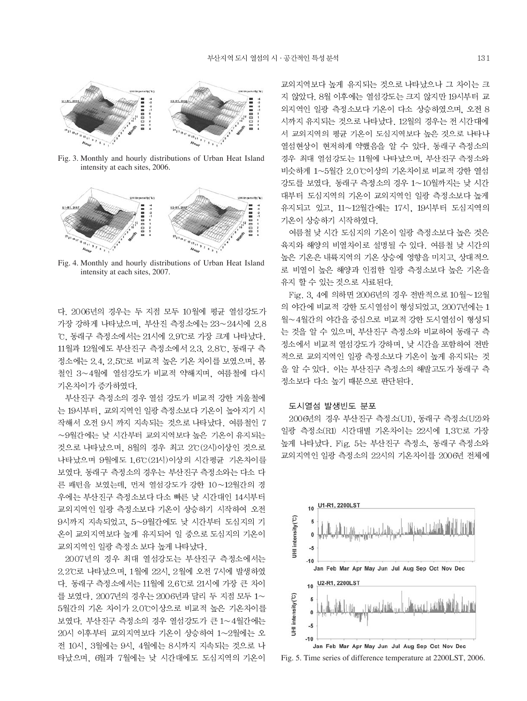

Fig. 3. Monthly and hourly distributions of Urban Heat Island intensity at each sites, 2006.



Fig. 4. Monthly and hourly distributions of Urban Heat Island intensity at each sites, 2007.

다. 2006년의 경우는 두 지점 모두 10월에 평균 열섬강도가 가장 강하게 나타났으며, 부산진 측정소에는 23~24시에 2.8 ℃, 동래구 측정소에서는 21시에 2.9℃로 가장 크게 나타났다. 11월과 12월에도 부산진구 측정소에서 2.3, 2.8℃, 동래구 측 정소에는 2.4, 2.5℃로 비교적 높은 기온 차이를 보였으며, 봄 철인 3~4월에 열섬강도가 비교적 약해지며, 여름철에 다시 기온차이가 증가하였다.

부산진구 측정소의 경우 열섬 강도가 비교적 강한 겨울철에 는 19시부터, 교외지역인 일광 측정소보다 기온이 높아지기 시 작해서 오전 9시 까지 지속되는 것으로 나타났다. 여름철인 7 ~9월간에는 낮 시간부터 교외지역보다 높은 기온이 유지되는 것으로 나타났으며, 8월의 경우 최고 2°C(2시)이상인 것으로 나타났으며 9월에도 1.6℃ (21시)이상의 시간평균 기온차이를 보였다. 동래구 측정소의 경우는 부산진구 측정소와는 다소 다 른 패턴을 보였는데, 먼저 열섬강도가 강한 10~12월간의 경 우에는 부산진구 측정소보다 다소 빠른 낮 시간대인 14시부터 교외지역인 일광 측정소보다 기온이 상승하기 시작하여 오전 9시까지 지속되었고, 5~9월간에도 낮 시간부터 도심지의 기 온이 교외지역보다 높게 유지되어 일 중으로 도심지의 기온이 교외지역인 일광 측정소 보다 높게 나타났다.

2007년의 경우 최대 열섬강도는 부산진구 측정소에서는 2.2℃로 나타났으며, 1월에 22시, 2월에 오전 7시에 발생하였 다. 동래구 측정소에서는 11월에 2.6℃로 21시에 가장 큰 차이 를 보였다. 2007년의 경우는 2006년과 달리 두 지점 모두 1~ 5월간의 기온 차이가 2.0℃이상으로 비교적 높은 기온차이를 보였다. 부산진구 측정소의 경우 열섬강도가 큰 1~4월간에는 20시 이후부터 교외지역보다 기온이 상승하여 1~2월에는 오 전 10시, 3월에는 9시, 4월에는 8시까지 지속되는 것으로 나 타났으며, 6월과 7월에는 낮 시간대에도 도심지역의 기온이 교외지역보다 높게 유지되는 것으로 나타났으나 그 차이는 크 지 않았다. 8월 이후에는 열섬강도는 크지 않지만 19시부터 교 외지역인 일광 측정소보다 기온이 다소 상승하였으며, 오전 8 시까지 유지되는 것으로 나타났다. 12월의 경우는 전 시간대에 서 교외지역의 평균 기온이 도심지역보다 높은 것으로 나타나 열섬현상이 현저하게 약했음을 알 수 있다. 동래구 측정소의 경우 최대 열섬강도는 11월에 나타났으며, 부산진구 측정소와 비슷하게 1~5월간 2.0℃이상의 기온차이로 비교적 강한 열섬 강도를 보였다. 동래구 측정소의 경우 1~10월까지는 낮 시간 대부터 도심지역의 기온이 교외지역인 일광 측정소보다 높게 유지되고 있고, 11~12월간에는 17시, 19시부터 도심지역의 기온이 상승하기 시작하였다.

여름철 낮 시간 도심지의 기온이 일광 측정소보다 높은 것은 육지와 해양의 비열차이로 설명될 수 있다. 여름철 낮 시간의 높은 기온은 내륙지역의 기온 상승에 영향을 미치고, 상대적으 로 비열이 높은 해양과 인접한 일광 측정소보다 높은 기온을 유지 할 수 있는 것으로 사료된다.

Fig. 3. 4에 의하면 2006년의 경우 전반적으로 10월~12월 의 야간에 비교적 강한 도시열섬이 형성되었고, 2007년에는 1 월~4월간의 야간을 중심으로 비교적 강한 도시열섬이 형성되 는 것을 알 수 있으며, 부산진구 측정소와 비교하여 동래구 측 정소에서 비교적 열섬강도가 강하며, 낮 시간을 포함하여 전반 적으로 교외지역인 일광 측정소보다 기온이 높게 유지되는 것 을 알 수 있다. 이는 부산진구 측정소의 해발고도가 동래구 측 정소보다 다소 높기 때문으로 판단된다.

#### 도시열섬 발생빈도 분포

2006년의 경우 부산진구 측정소(U1), 동래구 측정소(U2)와 일광 측정소(R1) 시간대별 기온차이는 22시에 1.3℃로 가장 높게 나타났다. Fig. 5는 부산진구 측정소, 동래구 측정소와 교외지역인 일광 측정소의 22시의 기온차이를 2006년 전체에



Fig. 5. Time series of difference temperature at 2200LST, 2006.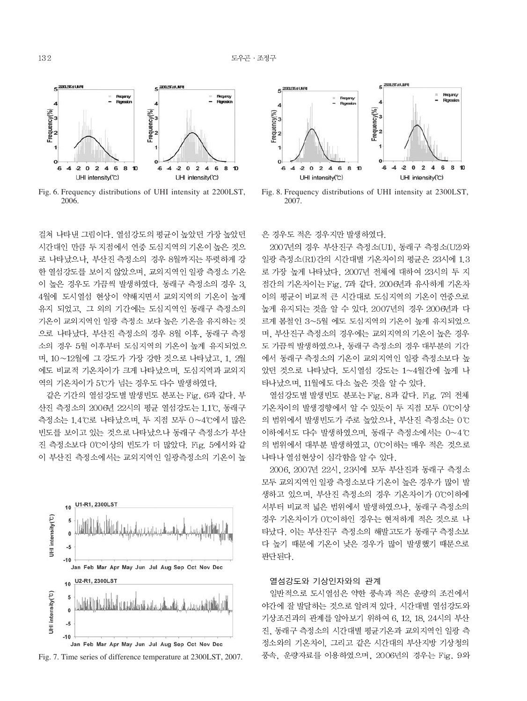

Fig. 6. Frequency distributions of UHI intensity at 2200LST, 2006

걸쳐 나타낸 그림이다. 열섬강도의 평균이 높았던 가장 높았던 시간대인 만큼 두 지점에서 연중 도심지역의 기온이 높은 것으 로 나타났으나. 부산진 측정소의 경우 8월까지는 뚜렷하게 강 한 열섬강도를 보이지 않았으며, 교외지역인 일광 측정소 기온 이 높은 경우도 가끔씩 발생하였다. 동래구 측정소의 경우 3. 4월에 도시열섬 현상이 약해지면서 교외지역의 기온이 높게 유지 되었고, 그 외의 기간에는 도심지역인 동래구 측정소의 기온이 교외지역인 일광 측정소 보다 높은 기온을 유지하는 것 으로 나타났다. 부산진 측정소의 경우 8월 이후, 동래구 측정 소의 경우 5월 이후부터 도심지역의 기온이 높게 유지되었으 며 10~12월에 그 강도가 가장 강한 것으로 나타났고. 1. 2월 에도 비교적 기온차이가 크게 나타났으며, 도심지역과 교외지 역의 기온차이가 5℃가 넘는 경우도 다수 발생하였다.

같은 기간의 열섬강도별 발생빈도 분포는 Fig. 6과 같다. 부 산진 측정소의 2006년 22시의 평균 열섬강도는 1.1°C, 동래구 측정소는 1.4℃로 나타났으며, 두 지점 모두 0~4℃에서 많은 빈도를 보이고 있는 것으로 나타났으나 동래구 측정소가 부산 진 측정소보다 0℃이상의 빈도가 더 많았다. Fig. 5에서와 같 이 부산진 측정소에서는 교외지역인 일광측정소의 기온이 높







Fig. 8. Frequency distributions of UHI intensity at 2300LST, 2007

은 경우도 적은 경우지만 발생하였다.

2007년의 경우 부산진구 측정소(U1). 동래구 측정소(U2)와 일광 측정소(R1)간의 시간대별 기온차이의 평균은 23시에 1.3 로 가장 높게 나타났다. 2007년 전체에 대하여 23시의 두 지 점간의 기온차이는 Fig. 7과 같다. 2006년과 유사하게 기온차 이의 평균이 비교적 큰 시간대로 도심지역의 기온이 연중으로 높게 유지되는 것을 알 수 있다. 2007년의 경우 2006년과 다 르게 봄철인 3~5월 에도 도심지역의 기온이 높게 유지되었으 며, 부산진구 측정소의 경우에는 교외지역의 기온이 높은 경우 도 가끔씩 발생하였으나, 동래구 측정소의 경우 대부분의 기간 에서 동래구 측정소의 기온이 교외지역인 일광 측정소보다 높 았던 것으로 나타났다. 도시열섬 강도는 1~4월간에 높게 나 타나났으며, 11월에도 다소 높은 것을 알 수 있다.

열섬강도별 발생빈도 분포는 Fig. 8과 같다. Fig. 7의 전체 기온차이의 발생경향에서 알 수 있듯이 두 지점 모두 0℃이상 의 범위에서 발생빈도가 주로 높았으나, 부산진 측정소는 0℃ 이하에서도 다수 발생하였으며, 동래구 측정소에서는 0~4℃ 의 범위에서 대부분 발생하였고, 0℃이하는 매우 적은 것으로 나타나 열섬현상이 심각함을 알 수 있다.

2006, 2007년 22시, 23시에 모두 부산진과 동래구 측정소 모두 교외지역인 일광 측정소보다 기온이 높은 경우가 많이 발 생하고 있으며, 부산진 측정소의 경우 기온차이가 0℃이하에 서부터 비교적 넓은 범위에서 발생하였으나, 동래구 측정소의 경우 기온차이가 0℃이하인 경우는 현저하게 적은 것으로 나 타났다. 이는 부산진구 측정소의 해발고도가 동래구 측정소보 다 높기 때문에 기온이 낮은 경우가 많이 발생했기 때문으로 판단된다.

#### 열섬강도와 기상인자와의 관계

일반적으로 도시열섬은 약한 풍속과 적은 운량의 조건에서 야간에 잘 발달하는 것으로 알려져 있다. 시간대별 열섬강도와 기상조건과의 관계를 알아보기 위하여 6, 12, 18, 24시의 부산 진, 동래구 측정소의 시간대별 평균기온과 교외지역인 일광 측 정소와의 기온차이, 그리고 같은 시간대의 부산지방 기상청의 풍속, 운량자료를 이용하였으며, 2006년의 경우는 Fig. 9와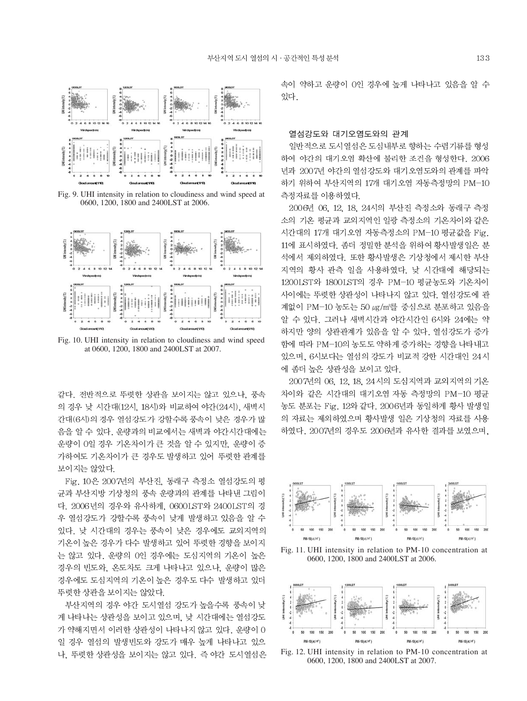

Fig. 9. UHI intensity in relation to cloudiness and wind speed at 0600, 1200, 1800 and 2400LST at 2006.



Fig. 10. UHI intensity in relation to cloudiness and wind speed at 0600, 1200, 1800 and 2400LST at 2007.

같다. 전반적으로 뚜렷한 상관을 보이지는 않고 있으나, 풍속 의 경우 낮 시간대(12시, 18시)와 비교하여 야간(24시), 새벽시 간대(6시)의 경우 열섬강도가 강할수록 풍속이 낮은 경우가 많 음을 알 수 있다. 운량과의 비교에서는 새벽과 야간시간대에는 운량이 0일 경우 기온차이가 큰 것을 알 수 있지만, 운량이 증 가하여도 기온차이가 큰 경우도 발생하고 있어 뚜렷한 관계를 보이지는 않았다.

Fig. 10은 2007년의 부산진, 동래구 측정소 열섬강도의 평 균과 부산지방 기상청의 풍속 운량과의 관계를 나타낸 그림이 다. 2006년의 경우와 유사하게, 0600LST와 2400LST의 경 우 열섬강도가 강할수록 풍속이 낮게 발생하고 있음을 알 수 있다. 낮 시간대의 경우는 풍속이 낮은 경우에도 교외지역의 기온이 높은 경우가 다수 발생하고 있어 뚜렷한 경향을 보이지 는 않고 있다. 운량의 0인 경우에는 도심지역의 기온이 높은 경우의 빈도와, 온도차도 크게 나타나고 있으나, 운량이 많은 경우에도 도심지역의 기온이 높은 경우도 다수 발생하고 있더 뚜렷한 상관을 보이지는 않았다.

부산지역의 경우 야간 도시열섬 강도가 높을수록 풍속이 낮 게 나타나는 상관성을 보이고 있으며, 낮 시간대에는 열섬강도 가 약해지면서 이러한 상관성이 나타나지 않고 있다. 운량이 0 일 경우 열섬의 발생빈도와 강도가 매우 높게 나타나고 있으 나, 뚜렷한 상관성을 보이지는 않고 있다. 즉 야간 도시열섬은 속이 약하고 운량이 0인 경우에 높게 나타나고 있음을 알 수 있다.

#### 열섬강도와 대기오염도와의 관계

일반적으로 도시열섬은 도심내부로 향하는 수렴기류를 형성 하여 야간의 대기오염 확산에 불리한 조건을 형성한다. 2006 년과 2007년 야간의 열섬강도와 대기오염도와의 관계를 파악 하기 위하여 부산지역의 17개 대기오염 자동측정망의 PM-10 측정자료를 이용하였다.

2006년 06, 12, 18, 24시의 부산진 측정소와 동래구 측정 소의 기온 평균과 교외지역인 일광 측정소의 기온차이와 같은 시간대의 17개 대기오염 자동측정소의 PM-10 평균값을 Fig. 11에 표시하였다. 좀더 정밀한 분석을 위하여 황사발생일은 분 석에서 제외하였다. 또한 황사발생은 기상청에서 제시한 부산 지역의 황사 관측 일을 사용하였다. 낮 시간대에 해당되는 1200LST와 1800LST의 경우 PM-10 평균농도와 기온차이 사이에는 뚜렷한 상관성이 나타나지 않고 있다. 열섬강도에 관 계없이 PM-10 농도는 50 µg/m3를 중심으로 분포하고 있음을 알 수 있다. 그러나 새벽시간과 야간시간인 6시와 24에는 약 하지만 양의 상관관계가 있음을 알 수 있다. 열섬강도가 증가 함에 따라 PM-10의 농도도 약하게 증가하는 경향을 나타내고 있으며, 6시보다는 열섬의 강도가 비교적 강한 시간대인 24시 에 좀더 높은 상관성을 보이고 있다.

2007년의 06, 12, 18, 24시의 도심지역과 교외지역의 기온 차이와 같은 시간대의 대기오염 자동 측정망의 PM-10 평균 농도 분포는 Fig. 12와 같다. 2006년과 동일하게 황사 발생일 의 자료는 제외하였으며 황사발생 일은 기상청의 자료를 사용 하였다. 2007년의 경우도 2006년과 유사한 결과를 보였으며,



Fig. 11. UHI intensity in relation to PM-10 concentration at 0600, 1200, 1800 and 2400LST at 2006.



Fig. 12. UHI intensity in relation to PM-10 concentration at 0600, 1200, 1800 and 2400LST at 2007.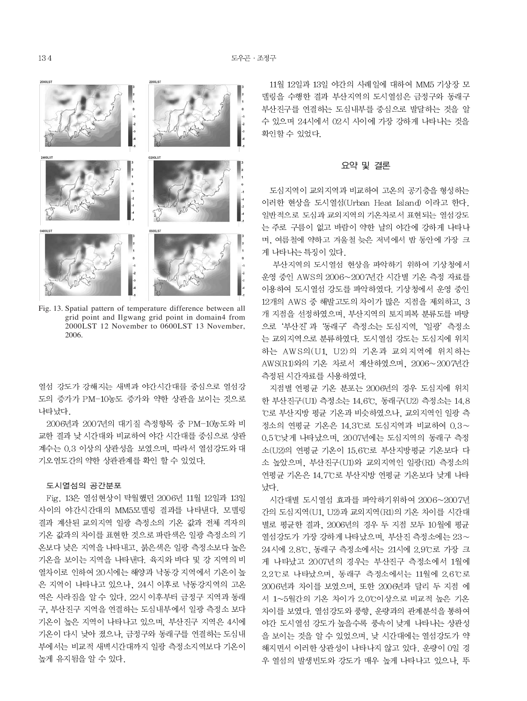

Fig. 13. Spatial pattern of temperature difference between all grid point and Ilgwang grid point in domain4 from 2000LST 12 November to 0600LST 13 November, 2006.

열섬 강도가 강해지는 새벽과 야간시간대를 중심으로 열섬강 도의 증가가 PM-10농도 증가와 약한 상관을 보이는 것으로 나타났다.

2006년과 2007년의 대기질 측정항목 중 PM-10농도와 비 교한 결과 낮 시간대와 비교하여 야간 시간대를 중심으로 상관 계수는 0.3 이상의 상관성을 보였으며, 따라서 열섬강도와 대 기오염도간의 약한 상관관계를 확인 할 수 있었다.

#### 도시열섬의 공간분포

Fig. 13은 열섬현상이 탁월했던 2006년 11월 12일과 13일 사이의 야간시간대의 MM5모델링 결과를 나타낸다. 모델링 결과 계산된 교외지역 일광 측정소의 기온 값과 전체 격자의 기온 값과의 차이를 표현한 것으로 파란색은 일광 측정소의 기 온보다 낮은 지역을 나타내고, 붉은색은 일광 측정소보다 높은 기온을 보이는 지역을 나타낸다. 육지와 바다 및 강 지역의 비 열차이로 인하여 20시에는 해양과 낙동강 지역에서 기온이 높 은 지역이 나타나고 있으나, 24시 이후로 낙동강지역의 고온 역은 사라짐을 알 수 있다. 22시 이후부터 금정구 지역과 동래 구, 부산진구 지역을 연결하는 도심내부에서 일광 측정소 보다 기온이 높은 지역이 나타나고 있으며, 부산진구 지역은 4시에 기온이 다시 낮아 졌으나, 금정구와 동래구를 연결하는 도심내 부에서는 비교적 새벽시간대까지 일광 측정소지역보다 기온이 높게 유지됨을 알 수 있다.

11월 12일과 13일 야간의 사례일에 대하여 MM5 기상장 모 델링을 수행한 결과 부산지역의 도시열섬은 금정구와 동래구 부산진구를 연결하는 도심내부를 중심으로 발달하는 것을 알 수 있으며 24시에서 02시 사이에 가장 강하게 나타나는 것을 확인할 수 있었다.

#### 요약 및 결론

도심지역이 교외지역과 비교하여 고온의 공기층을 형성하는 이러한 현상을 도시열섬(Urban Heat Island) 이라고 한다. 일반적으로 도심과 교외지역의 기온차로서 표현되는 열섬강도 는 주로 구름이 없고 바람이 약한 날의 야간에 강하게 나타나 며, 여름철에 약하고 겨울철 늦은 저녁에서 밤 동안에 가장 크 게 나타나는 특징이 있다.

부산지역의 도시열섬 현상을 파악하기 위하여 기상청에서 운영 중인 AWS의 2006~2007년간 시간별 기온 측정 자료를 이용하여 도시열섬 강도를 파악하였다. 기상청에서 운영 중인 12개의 AWS 중 해발고도의 차이가 많은 지점을 제외하고, 3 개 지점을 선정하였으며, 부산지역의 토지피복 분류도를 바탕 으로 '부산진'과 '동래구' 측정소는 도심지역, '일광' 측정소 는 교외지역으로 분류하였다. 도시열섬 강도는 도심지에 위치 하는 AWS의(U1, U2)의 기온과 교외지역에 위치하는 AWS(R1)와의 기온 차로서 계산하였으며, 2006~2007년간 측정된 시간자료를 사용하였다.

지점별 연평균 기온 분포는 2006년의 경우 도심지에 위치 한 부산진구(U1) 측정소는 14.6℃, 동래구(U2) 측정소는 14.8 ℃로 부산지방 평균 기온과 비슷하였으나, 교외지역인 일광 측 정소의 연평균 기온은 14.3℃로 도심지역과 비교하여 0.3~ 0.5℃낮게 나타났으며, 2007년에는 도심지역의 동래구 측정 소(U2)의 연평균 기온이 15.6℃로 부산지방평균 기온보다 다 소 높았으며, 부산진구(U1)와 교외지역인 일광(R1) 측정소의 연평균 기온은 14.7℃로 부산지방 연평균 기온보다 낮게 나타 났다.

시간대별 도시열섬 효과를 파악하기위하여 2006~2007년 간의 도심지역(U1, U2)과 교외지역(R1)의 기온 차이를 시간대 별로 평균한 결과, 2006년의 경우 두 지점 모두 10월에 평균 열섬강도가 가장 강하게 나타났으며, 부산진 측정소에는 23~ 24시에 2.8℃, 동래구 측정소에서는 21시에 2.9℃로 가장 크 게 나타났고 2007년의 경우는 부산진구 측정소에서 1월에 2.2℃로 나타났으며, 동래구 측정소에서는 11월에 2.6℃로 2006년과 차이를 보였으며, 또한 2006년과 달리 두 지점 에 서 1~5월간의 기온 차이가 2.0℃이상으로 비교적 높은 기온 차이를 보였다. 열섬강도와 풍향, 운량과의 관계분석을 통하여 야간 도시열섬 강도가 높을수록 풍속이 낮게 나타나는 상관성 을 보이는 것을 알 수 있었으며, 낮 시간대에는 열섬강도가 약 해지면서 이러한 상관성이 나타나지 않고 있다. 운량이 0일 경 우 열섬의 발생빈도와 강도가 매우 높게 나타나고 있으나, 뚜